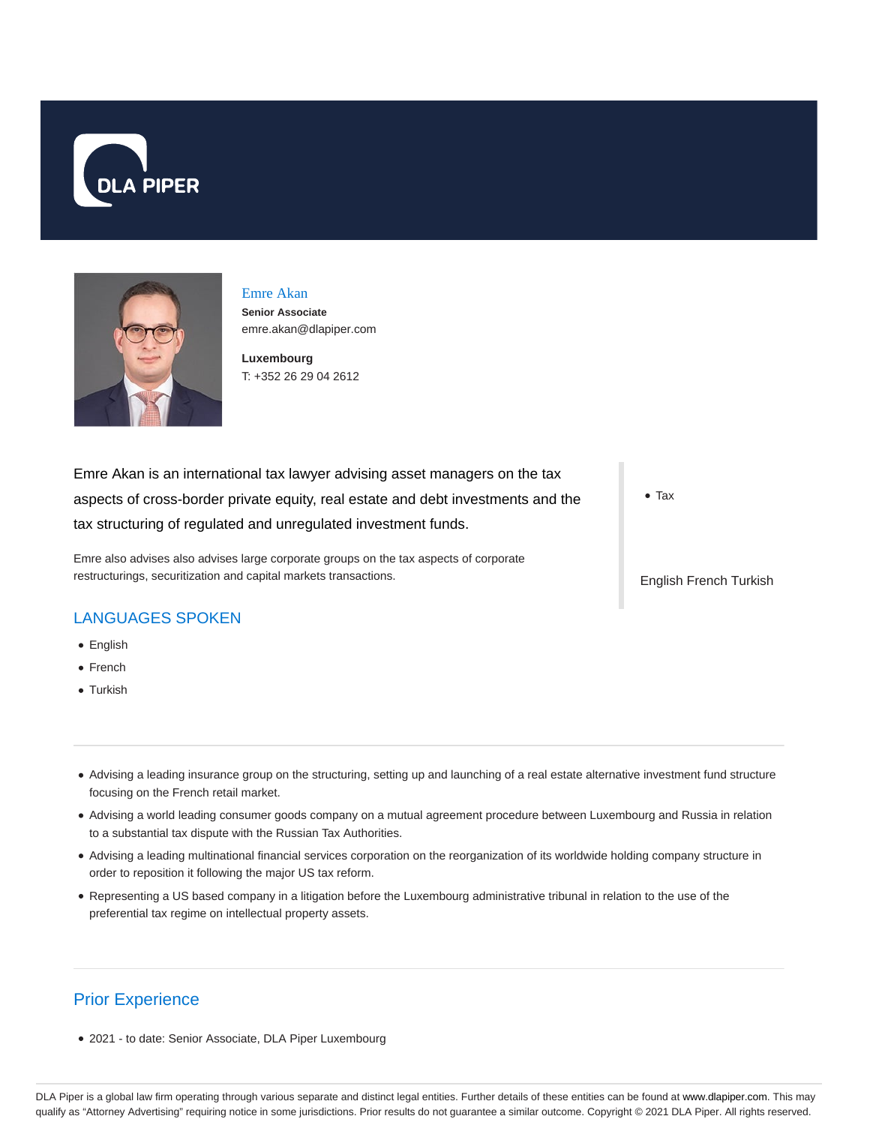



# Emre Akan

**Senior Associate** emre.akan@dlapiper.com

**Luxembourg** T: +352 26 29 04 2612

Emre Akan is an international tax lawyer advising asset managers on the tax aspects of cross-border private equity, real estate and debt investments and the tax structuring of regulated and unregulated investment funds.

Emre also advises also advises large corporate groups on the tax aspects of corporate restructurings, securitization and capital markets transactions.

### LANGUAGES SPOKEN

- English
- French
- Turkish
- Advising a leading insurance group on the structuring, setting up and launching of a real estate alternative investment fund structure focusing on the French retail market.
- Advising a world leading consumer goods company on a mutual agreement procedure between Luxembourg and Russia in relation to a substantial tax dispute with the Russian Tax Authorities.
- Advising a leading multinational financial services corporation on the reorganization of its worldwide holding company structure in order to reposition it following the major US tax reform.
- Representing a US based company in a litigation before the Luxembourg administrative tribunal in relation to the use of the preferential tax regime on intellectual property assets.

## Prior Experience

2021 - to date: Senior Associate, DLA Piper Luxembourg

• Tax

English French Turkish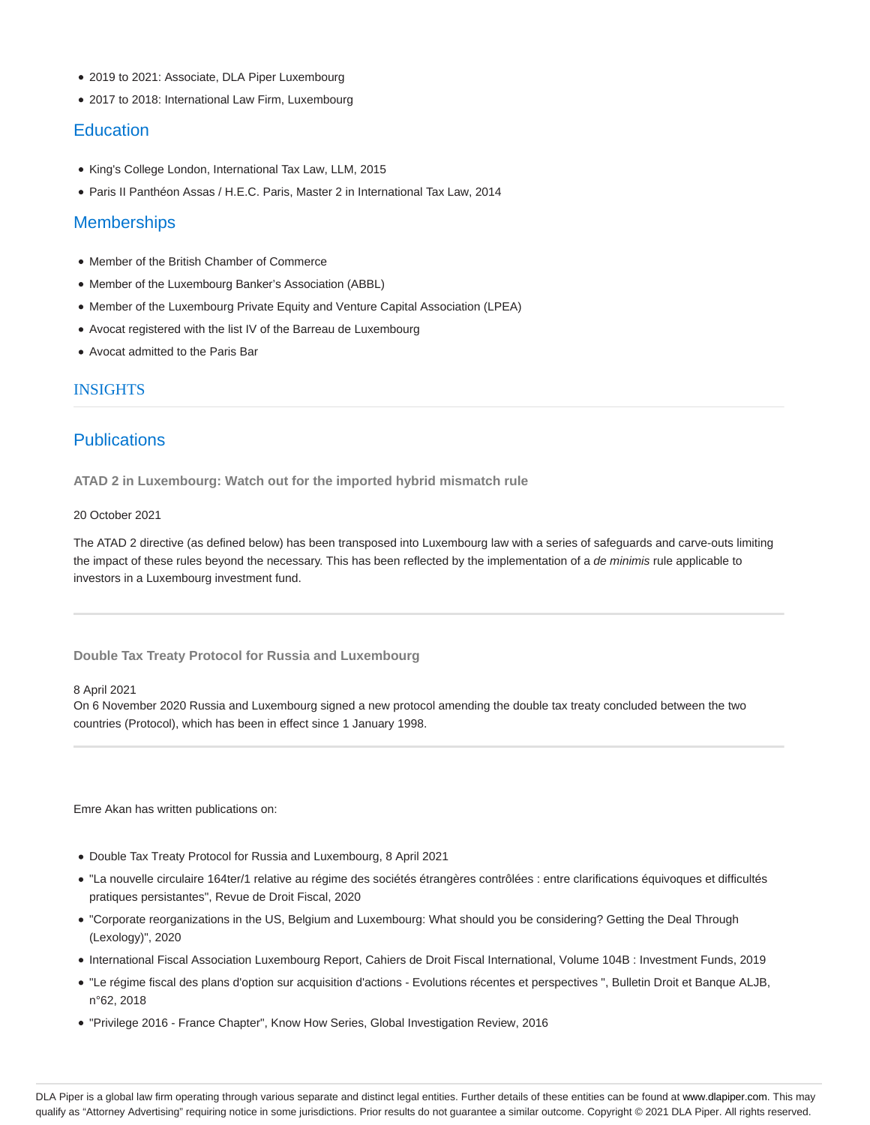- 2019 to 2021: Associate, DLA Piper Luxembourg
- 2017 to 2018: International Law Firm, Luxembourg

#### **Education**

- King's College London, International Tax Law, LLM, 2015
- Paris II Panthéon Assas / H.E.C. Paris, Master 2 in International Tax Law, 2014

### **Memberships**

- Member of the British Chamber of Commerce
- Member of the Luxembourg Banker's Association (ABBL)
- Member of the Luxembourg Private Equity and Venture Capital Association (LPEA)
- Avocat registered with the list IV of the Barreau de Luxembourg
- Avocat admitted to the Paris Bar

#### INSIGHTS

### **Publications**

**ATAD 2 in Luxembourg: Watch out for the imported hybrid mismatch rule**

#### 20 October 2021

The ATAD 2 directive (as defined below) has been transposed into Luxembourg law with a series of safeguards and carve-outs limiting the impact of these rules beyond the necessary. This has been reflected by the implementation of a de minimis rule applicable to investors in a Luxembourg investment fund.

**Double Tax Treaty Protocol for Russia and Luxembourg**

#### 8 April 2021

On 6 November 2020 Russia and Luxembourg signed a new protocol amending the double tax treaty concluded between the two countries (Protocol), which has been in effect since 1 January 1998.

Emre Akan has written publications on:

- Double Tax Treaty Protocol for Russia and Luxembourg, 8 April 2021
- "La nouvelle circulaire 164ter/1 relative au régime des sociétés étrangères contrôlées : entre clarifications équivoques et difficultés pratiques persistantes", Revue de Droit Fiscal, 2020
- "Corporate reorganizations in the US, Belgium and Luxembourg: What should you be considering? Getting the Deal Through (Lexology)", 2020
- International Fiscal Association Luxembourg Report, Cahiers de Droit Fiscal International, Volume 104B : Investment Funds, 2019
- "Le régime fiscal des plans d'option sur acquisition d'actions Evolutions récentes et perspectives ", Bulletin Droit et Banque ALJB, n°62, 2018
- "Privilege 2016 France Chapter", Know How Series, Global Investigation Review, 2016